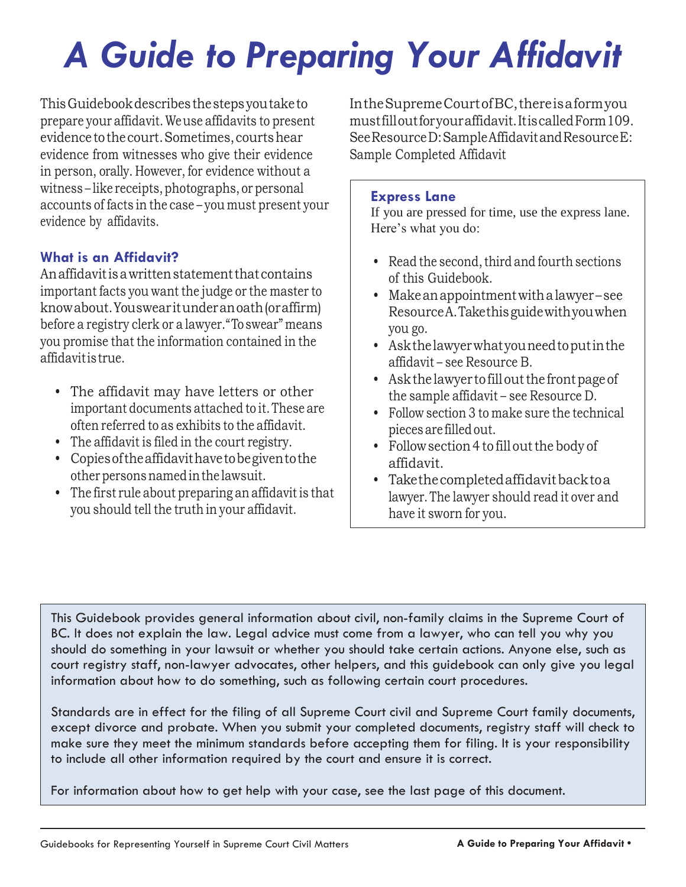# *A Guide to Preparing Your Affidavit*

ThisGuidebookdescribesthestepsyoutaketo prepare your affidavit.Weuse affidavits to present evidence tothecourt.Sometimes,courtshear evidence from witnesses who give their evidence in person, orally. However, for evidence without a witness-like receipts, photographs, or personal accounts of facts in the case – you must present your evidence by affidavits.

#### **What is an Affidavit?**

Anaffidavitisawrittenstatementthatcontains important facts you want the judge or the master to knowabout.Youswearitunderanoath(oraffirm) before a registry clerk or a lawyer."Toswear" means you promise that the information contained in the affidavitistrue.

- The affidavit may have letters or other important documents attached to it.These are often referred to as exhibits to the affidavit.
- The affidavit is filed in the court registry.
- Copiesoftheaffidavithavetobegiventothe other persons named in the lawsuit.
- The first rule about preparing an affidavit is that you should tell the truth in your affidavit.

IntheSupremeCourtofBC,thereisaformyou mustfilloutforyouraffidavit.ItiscalledForm109. See Resource D: Sample Affidavit and Resource E: Sample Completed Affidavit

#### **Express Lane**

If you are pressed for time, use the express lane. Here's what you do:

- Read the second, third and fourth sections of this Guidebook.
- Makeanappointmentwithalawyer see ResourceA.Takethisguidewithyouwhen you go.
- Askthelawyerwhatyouneedtoputinthe affidavit – see Resource B.
- Ask the lawyer to fill out the front page of the sample affidavit – see Resource D.
- Follow section 3 to make sure the technical piecesare filledout.
- Follow section 4 to fill out the body of affidavit.
- Takethecompletedaffidavitbacktoa lawyer.The lawyer should read it over and have it sworn for you.

This Guidebook provides general information about civil, non-family claims in the Supreme Court of BC. It does not explain the law. Legal advice must come from a lawyer, who can tell you why you should do something in your lawsuit or whether you should take certain actions. Anyone else, such as court registry staff, non-lawyer advocates, other helpers, and this guidebook can only give you legal information about how to do something, such as following certain court procedures.

Standards are in effect for the filing of all Supreme Court civil and Supreme Court family documents, except divorce and probate. When you submit your completed documents, registry staff will check to make sure they meet the minimum standards before accepting them for filing. It is your responsibility to include all other information required by the court and ensure it is correct.

For information about how to get help with your case, see the last page of this document.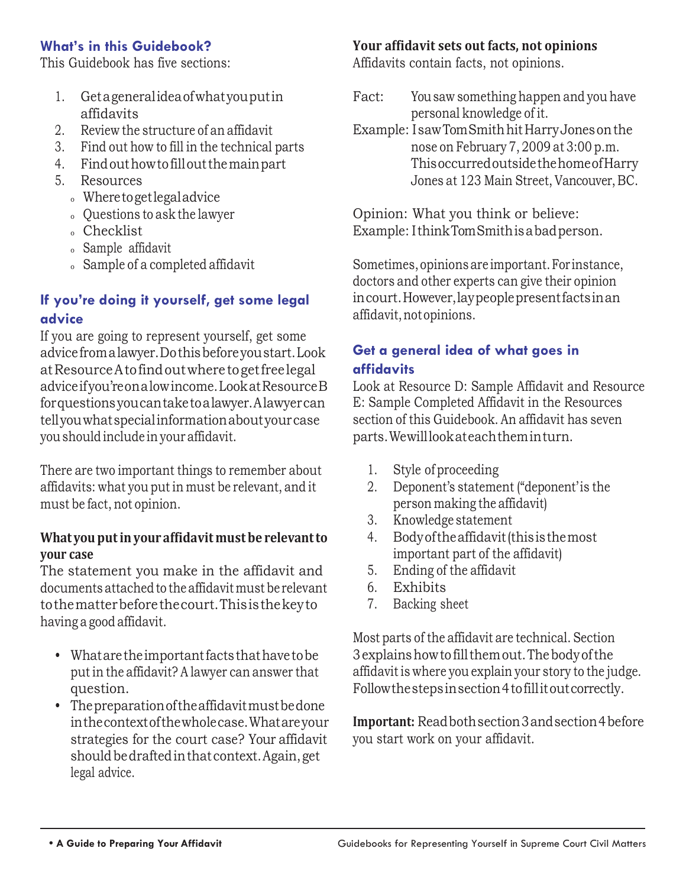#### **What's in this Guidebook?**

This Guidebook has five sections:

- 1. Getageneralideaofwhatyouputin affidavits
- 2. Review the structure of an affidavit
- 3. Find out how to fill in the technical parts
- 4. Findouthowtofilloutthemainpart
- 5. Resources
	- <sup>o</sup> Wheretogetlegaladvice
	- <sup>o</sup> Questions to ask the lawyer
	- <sup>o</sup> Checklist
	- <sup>o</sup> Sample affidavit
	- <sup>o</sup> Sample of a completed affidavit

# **If you're doing it yourself, get some legal advice**

If you are going to represent yourself, get some advicefromalawyer.Dothisbeforeyoustart.Look atResourceAtofindoutwhere togetfreelegal adviceifyou'reonalowincome.LookatResourceB forquestionsyoucantaketoalawyer.Alawyercan tellyouwhatspecialinformationaboutyourcase youshould include in your affidavit.

There are two important things to remember about affidavits: what you put in must be relevant, and it must be fact, not opinion.

#### **Whatyou putin your affidavit must be relevantto your case**

The statement you make in the affidavit and documents attached to theaffidavitmust be relevant tothematterbeforethecourt.Thisisthekeyto having a good affidavit.

- Whatare the important facts that have to be put in the affidavit? A lawyer can answer that question.
- Thepreparationoftheaffidavitmustbedone inthecontextofthewholecase.Whatareyour strategies for the court case? Your affidavit should be drafted in that context. Again, get legal advice.

#### **Your affidavit sets out facts, not opinions**

Affidavits contain facts, not opinions.

Fact: Yousaw something happen and you have personal knowledge of it. Example: IsawTomSmithhit HarryJonesonthe nose on February 7, 2009 at 3:00 p.m. ThisoccurredoutsidethehomeofHarry Jones at 123 Main Street, Vancouver, BC.

Opinion: What you think or believe: Example: IthinkTomSmithisabadperson.

Sometimes,opinions are important.For instance, doctors and other experts can give their opinion incourt.However,laypeoplepresentfactsinan affidavit, not opinions.

#### **Get a general idea of what goes in affidavits**

Look at Resource D: Sample Affidavit and Resource E: Sample Completed Affidavit in the Resources section of this Guidebook. An affidavit has seven parts.Wewilllookateachtheminturn.

- 1. Style of proceeding
- 2. Deponent's statement ("deponent' is the person making the affidavit)
- 3. Knowledge statement
- 4. Bodyoftheaffidavit(thisisthemost important part of the affidavit)
- 5. Ending of the affidavit
- 6. Exhibits
- 7. Backing sheet

Most parts of the affidavit are technical. Section 3explainshowtofillthemout.Thebodyofthe affidavitis where you explain your story to the judge. Follow the steps in section 4 to fill it out correctly.

**Important:** Readbothsection3andsection4before you start work on your affidavit.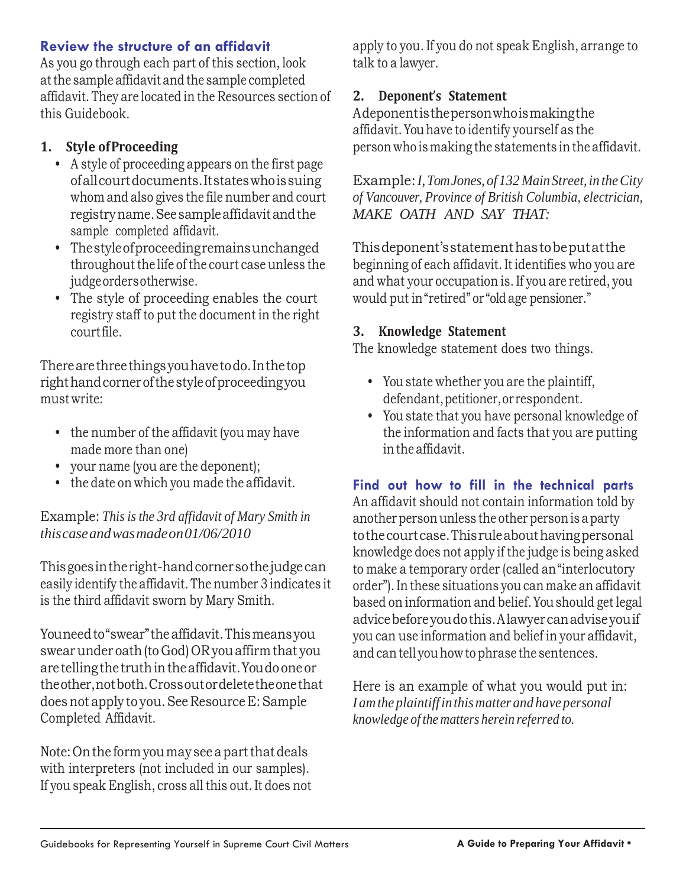#### **Review the structure of an affidavit**

As you go through each part of this section, look atthe sample affidavit and the sample completed affidavit. They are located in the Resources section of this Guidebook.

#### **1. Style ofProceeding**

- A style of proceeding appears on the first page ofallcourtdocuments.Itstateswhoissuing whom and also gives the file number and court registryname.Seesampleaffidavitandthe sample completed affidavit.
- Thestyleofproceedingremainsunchanged throughout the life of the court case unless the judgeordersotherwise.
- The style of proceeding enables the court registry staff to put the document in the right courtfile.

Therearethreethingsyouhavetodo.Inthetop righthandcornerofthestyleofproceedingyou must write:

- the number of the affidavit (you may have made more than one)
- your name (you are the deponent);
- the date on which you made the affidavit.

Example: *This is the 3rd affidavit of Mary Smith in thiscaseandwasmadeon01/06/2010*

Thisgoesintheright-handcornersothejudgecan easily identify the affidavit. The number 3 indicates it is the third affidavit sworn by Mary Smith.

Youneed to "swear" the affidavit. This means you swearunder oath(to God) OR youaffirmthat you are tellingthe truthintheaffidavit.Youdoone or theother,notboth.Crossoutordeletetheonethat does not apply to you. See Resource E: Sample Completed Affidavit.

Note: On the form you may see a part that deals with interpreters (not included in our samples). If you speak English, cross all this out. It does not apply to you. If you do not speak English, arrange to talk to a lawyer.

#### **2. Deponent's Statement**

Adeponentisthepersonwhoismakingthe affidavit.Youhave to identify yourself as the person who is making the statements in the affidavit.

Example: *I, Tom Jones, of* 132 *Main Street, in the City of Vancouver, Province of British Columbia, electrician, MAKE OATH AND SAY THAT:*

Thisdeponent'sstatementhastobeputatthe beginning of each affidavit. Itidentifies who you are and what your occupation is. If you are retired, you would put in"retired" or "old age pensioner."

#### **3. Knowledge Statement**

The knowledge statement does two things.

- Youstate whether you are the plaintiff, defendant, petitioner, or respondent.
- You state that you have personal knowledge of the information and facts that you are putting inthe affidavit.

### **Find out how to fill in the technical parts**

An affidavit should not contain information told by another person unless the other person is a party tothecourtcase.Thisruleabouthavingpersonal knowledge does not apply if the judge is being asked to make a temporary order (called an"interlocutory order").In these situations you can make an affidavit based on information and belief.Youshould get legal advicebeforeyoudothis.Alawyercanadviseyouif you can use information and belief in your affidavit, and can tell you how to phrase the sentences.

Here is an example of what you would put in: *Iamthe plaintiffin thismatter and have personal knowledge of the matters herein referred to.*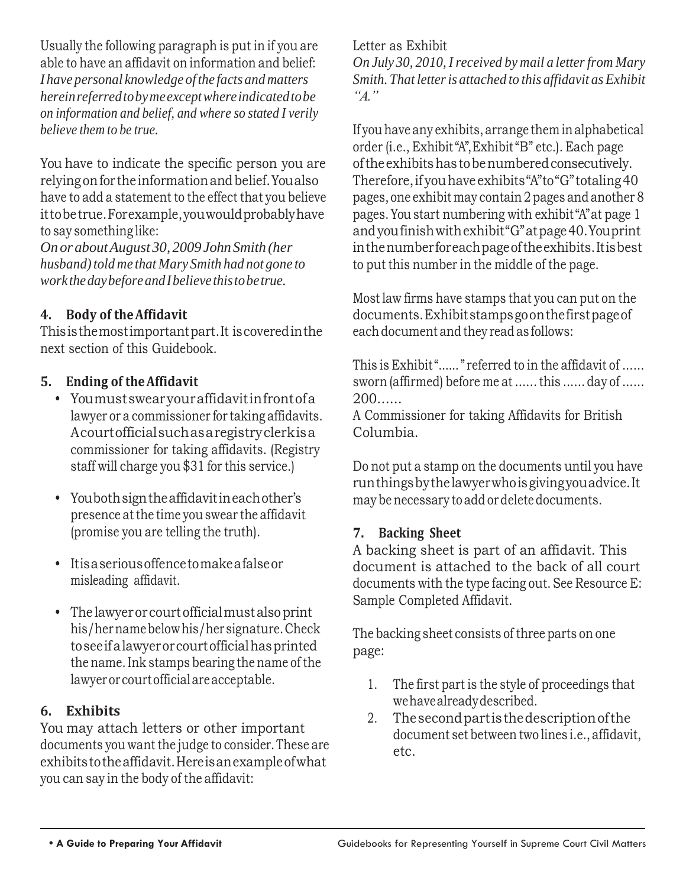Usually the following paragraph is put in if you are able to have an affidavit on information and belief: *I have personal knowledge of the facts and matters hereinreferredtobymeexceptwhereindicatedtobe on information and belief, and where so stated I verily believe them to be true.*

You have to indicate the specific person you are relying onfor the informationandbelief.Youalso have to add a statement to the effect that you believe ittobetrue.Forexample,youwouldprobablyhave to say something like:

*On or aboutAugust 30, 2009 JohnSmith (her husband*) *told me that Mary Smith had not gone to workthedaybeforeandIbelievethistobetrue.*

### **4. Body of theAffidavit**

Thisisthemostimportantpart.It iscoveredinthe next section of this Guidebook.

### **5. Ending of theAffidavit**

- Youmustswearyouraffidavitinfrontofa lawyer or a commissioner for taking affidavits. Acourtofficialsuchasaregistryclerkisa commissioner for taking affidavits. (Registry staff will charge you \$31 for this service.)
- Youbothsigntheaffidavitineachother's presence atthe time youswear the affidavit (promise you are telling the truth).
- Itisaseriousoffencetomakeafalseor misleading affidavit.
- The lawyerorcourtofficialmustalsoprint his/hernamebelowhis/her signature.Check toseeifalawyerorcourtofficialhasprinted the name.Ink stamps bearing the name of the lawyeror courtofficialareacceptable.

#### **6. Exhibits**

You may attach letters or other important documents you want the judge to consider.These are exhibitstotheaffidavit.Hereisanexampleofwhat you can say in the body of the affidavit:

#### Letter as Exhibit

*On July 30, 2010, Ireceived by mail a letterfrom Mary Smith. That letteris attached to this affidavit as Exhibit "A."*

If youhave any exhibits,arrange them inalphabetical order (i.e., Exhibit "A",Exhibit "B" etc.). Each page oftheexhibitshastobenumberedconsecutively. Therefore, if you have exhibits "A" to "G" totaling 40 pages,one exhibit may contain 2 pages and another 8 pages.You start numbering with exhibit "A"at page 1 andyoufinishwithexhibit"G"atpage40.Youprint inthenumberforeachpageoftheexhibits.Itisbest to put this number in the middle of the page.

Most law firms have stamps that you can put on the documents.Exhibitstampsgoonthefirstpageof each document and they read as follows:

This is Exhibit "......" referred to in the affidavit of ...... sworn (affirmed) before me at ...... this ...... day of ...... 200......

A Commissioner for taking Affidavits for British Columbia.

Do not put a stamp on the documents until you have runthingsbythelawyerwhoisgivingyouadvice.It may be necessary to add or delete documents.

#### **7. Backing Sheet**

A backing sheet is part of an affidavit. This document is attached to the back of all court documents with the type facing out. See Resource E: Sample Completed Affidavit.

The backing sheet consists of three parts on one page:

- 1. The first part is the style of proceedings that wehavealreadydescribed.
- 2. Thesecondpartisthedescriptionofthe document set between two lines i.e., affidavit, etc.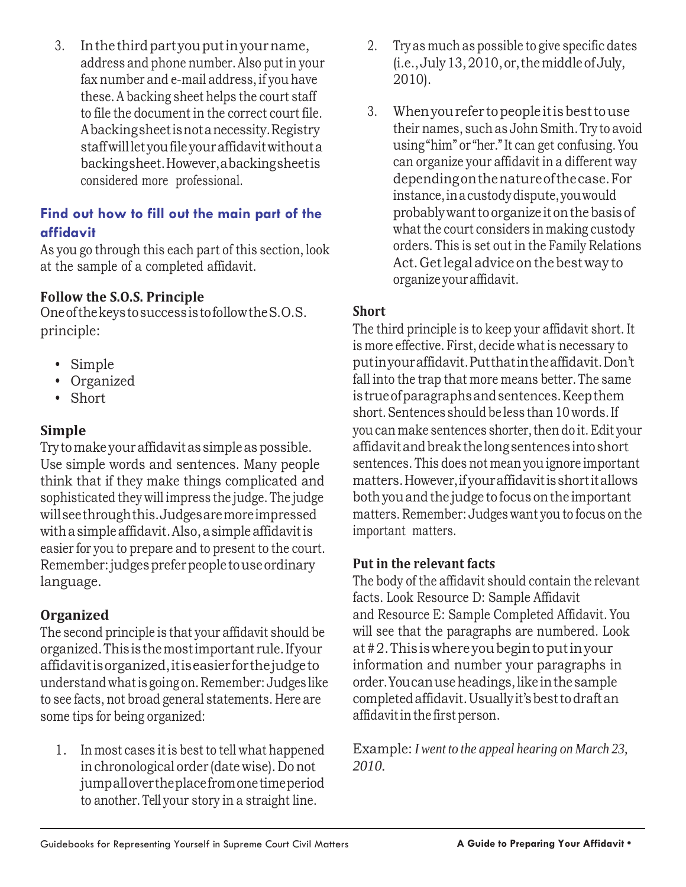3. Inthethirdpartyouputinyourname, address and phone number.Also putin your fax number and e-mail address,if you have these.A backing sheet helps the court staff to file the document in the correct court file. Abackingsheetisnotanecessity.Registry staffwillletyoufileyouraffidavitwithouta backingsheet.However,abackingsheetis considered more professional.

#### **Find out how to fill out the main part of the affidavit**

As you go through this each part of this section, look at the sample of a completed affidavit.

#### **Follow the S.O.S. Principle**

OneofthekeystosuccessistofollowtheS.O.S. **Short** principle:

- Simple
- Organized
- Short

# **Simple**

Try to make your affidavit as simple as possible. Use simple words and sentences. Many people think that if they make things complicated and sophisticated they will impress the judge. The judge willseethroughthis.Judgesaremoreimpressed withasimpleaffidavit.Also,asimple affidavitis easier for you to prepare and to present to the court. Remember: judges prefer people to use ordinary language.

# **Organized**

The second principle is that your affidavit should be organized.Thisisthemostimportant rule.Ifyour affidavitisorganized,itiseasierforthejudgeto understand whatis going on.Remember: Judges like to see facts, not broad general statements. Here are some tips for being organized:

1. In most cases it is best to tell what happened inchronological order (date wise). Donot jumpallovertheplacefromonetimeperiod to another. Tell your story in a straight line.

- 2. Try as much as possible to give specific dates (i.e.,July13,2010,or,themiddleofJuly, 2010).
- 3. Whenyourefer topeople itisbesttouse their names, such as John Smith.Try to avoid using"him" or "her." It can get confusing. You can organize your affidavit in a different way dependingonthenatureofthecase.For instance,inacustodydispute,youwould probablywanttoorganize it onthebasis of what the court considers in making custody orders. This is set out in the Family Relations Act.Getlegal advice onthebestway to organize youraffidavit.

The third principle is to keep your affidavit short. It is more effective. First, decide what is necessary to putinyouraffidavit.Putthatintheaffidavit.Don't fall into the trap that more means better. The same istrueofparagraphsandsentences.Keepthem short.Sentences should be less than 10 words.If you can make sentences shorter, then do it. Edit your affidavitandbreakthelongsentences intoshort sentences. This does not mean you ignore important matters.However,ifyouraffidavitisshortitallows bothyouandthe judge tofocus onthe important matters. Remember: Judges want you to focus on the important matters.

### **Put in the relevant facts**

The body of the affidavit should contain the relevant facts. Look Resource D: Sample Affidavit and Resource E: Sample Completed Affidavit. You will see that the paragraphs are numbered. Look at#2.This iswhere youbegintoputinyour information and number your paragraphs in order.Youcanuseheadings,like inthesample completedaffidavit.Usuallyit'sbesttodraftan affidavitin the first person.

Example: *I went to the appeal hearing on March 23, 2010.*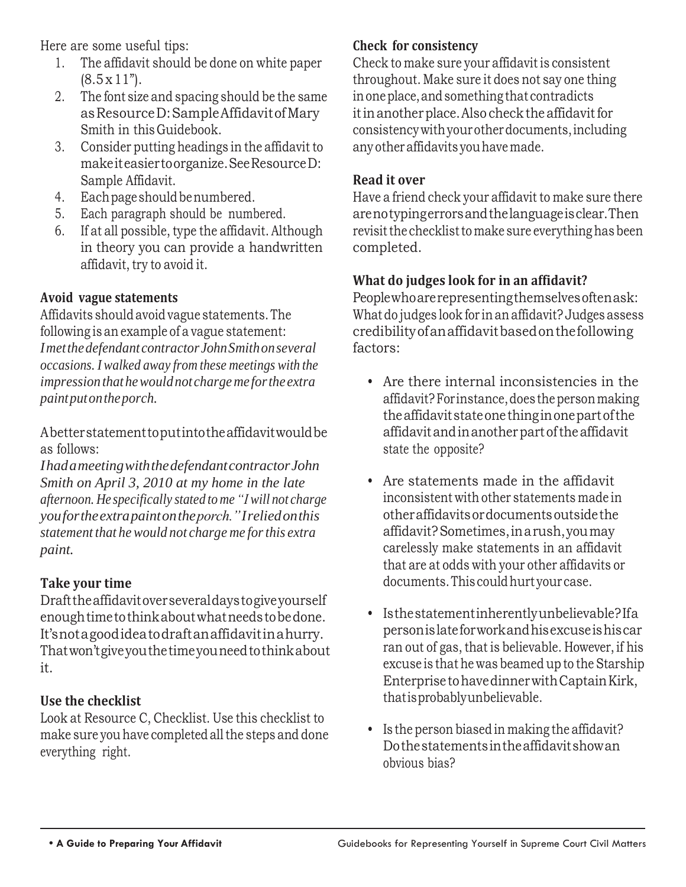Here are some useful tips:

- 1. The affidavit should be done on white paper  $(8.5 \times 11^{n})$ .
- 2. The font size and spacing should be the same asResourceD:SampleAffidavitofMary Smith in this Guidebook.
- 3. Consider putting headings in the affidavit to makeiteasiertoorganize.SeeResourceD: Sample Affidavit.
- 4. Each page should be numbered.
- 5. Each paragraph should be numbered.
- 6. If at all possible, type the affidavit. Although in theory you can provide a handwritten affidavit, try to avoid it.

# **Avoid vague statements**

Affidavits shouldavoid vague statements. The following is an example of a vague statement: *Imetthedefendant contractor JohnSmithonseveral occasions. I walked away from these meetings with the impression thathewouldnot chargeme forthe extra paintputontheporch.*

Abetterstatementtoputintotheaffidavitwouldbe as follows:

*IhadameetingwiththedefendantcontractorJohn Smith on April 3, 2010 at my home in the late afternoon. He specifically stated to me "I will not charge youfortheextrapaintontheporch."Ireliedonthis statement that hewould not charge me forthis extra paint.*

# **Take your time**

Drafttheaffidavitoverseveraldaystogiveyourself enoughtimetothinkaboutwhatneedstobedone. It'snotagoodideatodraftanaffidavitinahurry. Thatwon'tgiveyouthetimeyouneedtothinkabout it.

### **Use the checklist**

Look at Resource C, Checklist. Use this checklist to make sure you have completed all the steps and done everything right.

### **Check for consistency**

Check to make sure your affidavit is consistent throughout. Make sure it does not say one thing in one place, and something that contradicts it in another place. Also check the affidavit for consistencywithyourotherdocuments,including any other affidavits you have made.

### **Read it over**

Have a friend check your affidavit to make sure there arenotypingerrorsandthelanguageisclear.Then revisit the checklist to make sure everything has been completed.

# **What do judges look for in an affidavit?**

Peoplewhoarerepresentingthemselvesoftenask: What do judges look for in an affidavit? Judges assess credibilityofanaffidavitbasedonthefollowing factors:

- Are there internal inconsistencies in the affidavit?Forinstance,does thepersonmaking theaffidavitstateonethinginonepartofthe affidavitandinanotherpartoftheaffidavit state the opposite?
- Are statements made in the affidavit inconsistent with other statements made in otheraffidavitsordocumentsoutsidethe affidavit?Sometimes,inarush,youmay carelessly make statements in an affidavit that are at odds with your other affidavits or documents. This could hurt your case.
- Isthestatementinherentlyunbelievable?Ifa personislateforworkandhisexcuseishiscar ran out of gas, that is believable. However, if his excuse is that he was beamed up to the Starship EnterprisetohavedinnerwithCaptainKirk, thatisprobablyunbelievable.
- Is the person biased in making the affidavit? Dothestatementsintheaffidavitshowan obvious bias?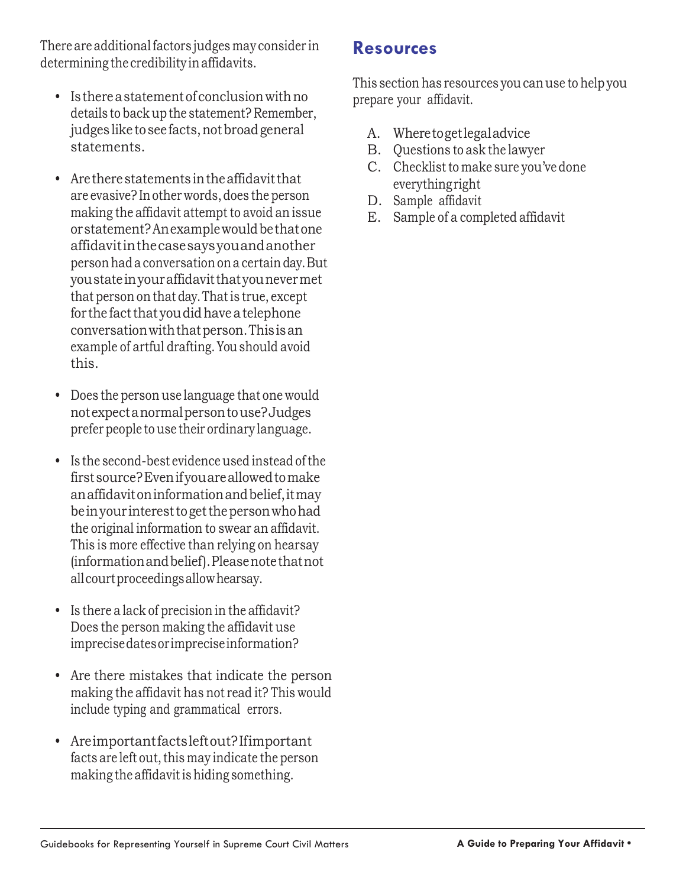There are additional factors judges may consider in determining the credibility inaffidavits.

- Is there a statement of conclusion with no details to back up the statement? Remember, judges like to see facts, not broad general statements.
- Are there statements in the affidavit that are evasive? Inother words,does the person making the affidavit attempt to avoid an issue or statement? An example would be that one affidavitinthecasesaysyouandanother personhada conversationona certainday.But youstateinyouraffidavitthatyounevermet that person on that day.Thatis true, except for the fact that you did have a telephone conversationwiththatperson.Thisisan example of artful drafting.Youshould avoid this.
- Does the person use language that one would notexpectanormalpersontouse?Judges prefer people touse their ordinary language.
- Is the second-best evidence used instead ofthe firstsource?Evenifyouareallowedtomake anaffidavitoninformationandbelief,itmay be in your interest to get the person who had the original information to swear an affidavit. This is more effective than relying on hearsay (informationandbelief).Pleasenotethatnot allcourtproceedingsallowhearsay.
- Is there a lack of precision in the affidavit? Does the person making the affidavit use imprecisedatesorimpreciseinformation?
- Are there mistakes that indicate the person making the affidavit has not read it? This would include typing and grammatical errors.
- Areimportantfactsleftout?Ifimportant facts are left out, this may indicate the person making the affidavit is hiding something.

# **Resources**

This section has resources youcanuse to help you prepare your affidavit.

- A. Wheretogetlegaladvice
- B. Questions to ask the lawyer
- C. Checklist to make sure you've done everythingright
- D. Sample affidavit
- E. Sample of a completed affidavit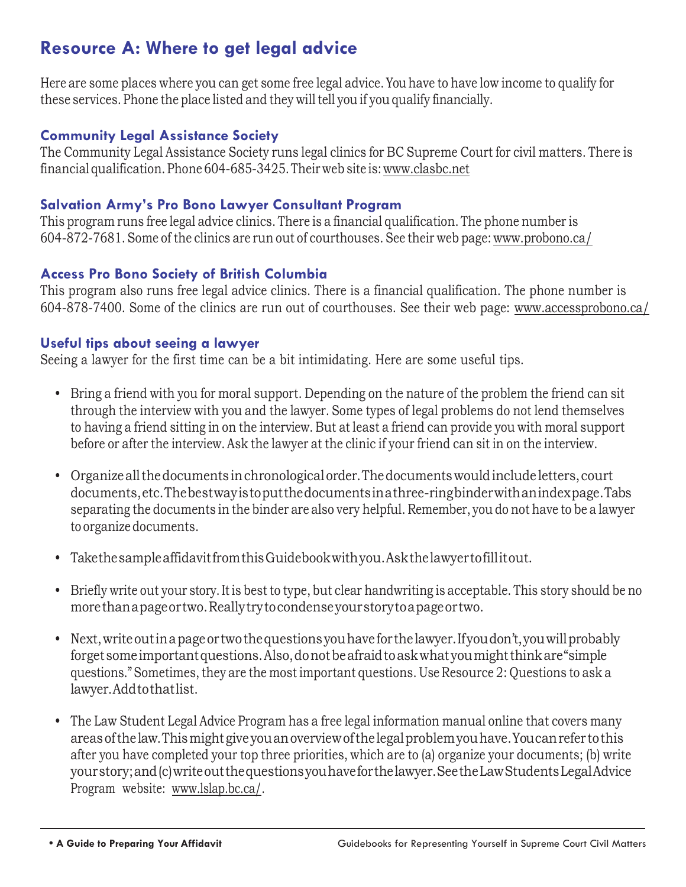# **Resource A: Where to get legal advice**

Here are some places where you can get some free legal advice.Youhave to have low income to qualify for these services. Phone the place listed and they will tell you if you qualify financially.

#### **Community Legal Assistance Society**

The Community Legal Assistance Society runs legal clinics for BC Supreme Court for civil matters. There is financial qualification.Phone 604-685-3425.Their web site is[:www.clasbc.net](http://www.clasbc.net/)

#### **Salvation Army's Pro Bono Lawyer Consultant Program**

This program runs free legal advice clinics. There is a financial qualification. The phone number is 604-872-7681. Some of the clinics are run out of courthouses. See their web page: [www.probono.ca/](http://www.probono.ca/)

#### **Access Pro Bono Society of British Columbia**

This program also runs free legal advice clinics. There is a financial qualification. The phone number is 604-878-7400. Some of the clinics are run out of courthouses. See their web page: [www.accessprobono.ca/](http://www.accessprobono.ca/)

#### **Useful tips about seeing a lawyer**

Seeing a lawyer for the first time can be a bit intimidating. Here are some useful tips.

- Bring a friend with you for moral support. Depending on the nature of the problem the friend can sit through the interview with you and the lawyer. Some types of legal problems do not lend themselves to having a friend sitting in on the interview. But at least a friend can provide you with moral support before or after the interview.Ask the lawyer at the clinic if your friend can sit in on the interview.
- Organizeallthedocuments inchronologicalorder.Thedocumentswouldinclude letters,court documents,etc.Thebestwayistoputthedocumentsinathree-ringbinderwithanindexpage.Tabs separating the documents in the binder are also very helpful. Remember, you do not have to be a lawyer to organize documents.
- TakethesampleaffidavitfromthisGuidebookwithyou.Askthelawyertofillitout.
- Briefly write out your story.Itis best to type, but clear handwriting is acceptable. This story should be no morethanapageortwo.Reallytrytocondenseyourstorytoapageortwo.
- Next, write out in a page or two the questions you have for the lawyer. If you don't, you will probably forgetsomeimportantquestions.Also,donotbeafraidtoaskwhatyoumightthinkare"simple questions." Sometimes, they are the most important questions. Use Resource 2: Questions to ask a lawyer.Addtothatlist.
- The Law Student Legal Advice Program has a free legal information manual online that covers many areasofthe law.Thismight giveyouanoverviewofthelegalproblemyouhave.Youcanrefer tothis after you have completed your top three priorities, which are to (a) organize your documents; (b) write yourstory;and(c)writeoutthequestionsyouhaveforthelawyer.SeetheLawStudentsLegalAdvice Program website: [www.lslap.bc.ca/.](http://www.lslap.bc.ca/)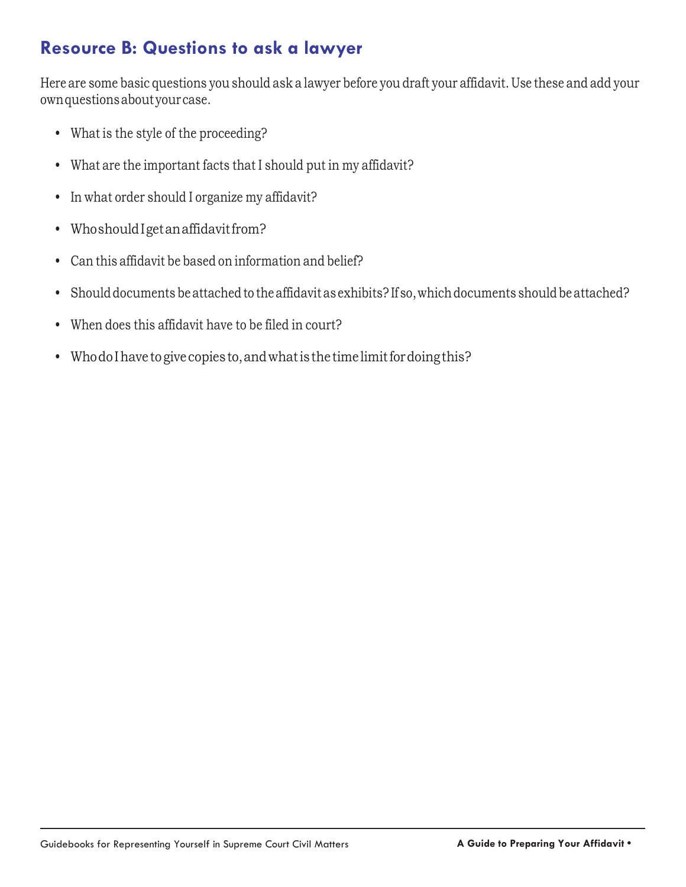# **Resource B: Questions to ask a lawyer**

Here are some basic questions you should ask a lawyer before you draft your affidavit. Use these and add your ownquestionsaboutyourcase.

- What is the style of the proceeding?
- What are the important facts that I should put in my affidavit?
- In what order should I organize my affidavit?
- Whoshould I get an affidavit from?
- Can this affidavit be based on information and belief?
- Should documents be attached to the affidavit as exhibits? If so, which documents should be attached?
- When does this affidavit have to be filed in court?
- Whodo I have to give copies to, and what is the time limit for doing this?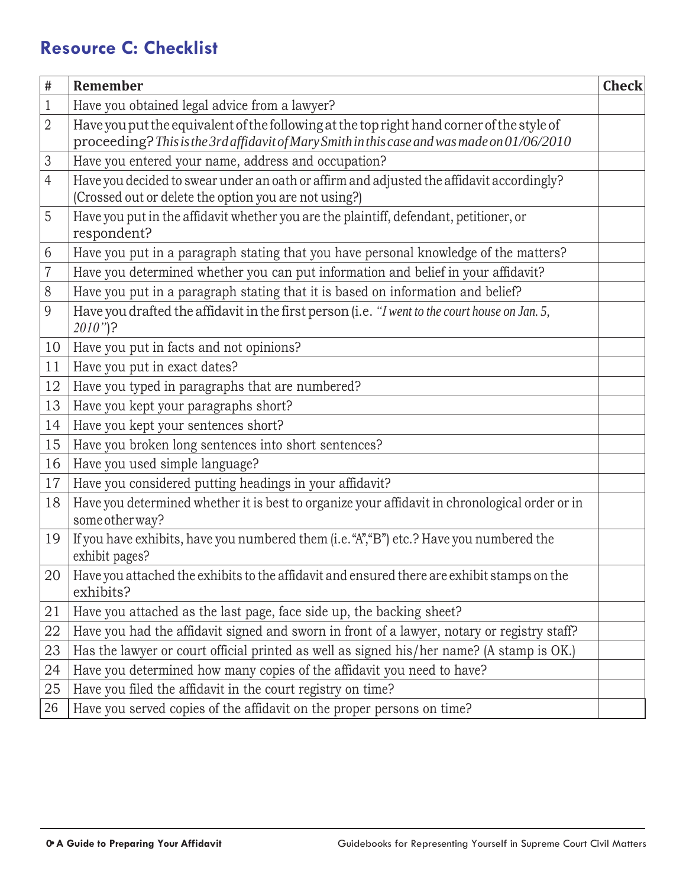# **Resource C: Checklist**

| $\#$           | Remember                                                                                                                                           | <b>Check</b> |  |  |  |
|----------------|----------------------------------------------------------------------------------------------------------------------------------------------------|--------------|--|--|--|
| 1              | Have you obtained legal advice from a lawyer?                                                                                                      |              |  |  |  |
| $\overline{2}$ | Have you put the equivalent of the following at the top right hand corner of the style of                                                          |              |  |  |  |
|                | proceeding? This is the 3rd affidavit of Mary Smith in this case and was made on 01/06/2010                                                        |              |  |  |  |
| $\mathfrak 3$  | Have you entered your name, address and occupation?                                                                                                |              |  |  |  |
| $\overline{4}$ | Have you decided to swear under an oath or affirm and adjusted the affidavit accordingly?<br>(Crossed out or delete the option you are not using?) |              |  |  |  |
| 5              | Have you put in the affidavit whether you are the plaintiff, defendant, petitioner, or<br>respondent?                                              |              |  |  |  |
| 6              | Have you put in a paragraph stating that you have personal knowledge of the matters?                                                               |              |  |  |  |
| 7              | Have you determined whether you can put information and belief in your affidavit?                                                                  |              |  |  |  |
| 8              | Have you put in a paragraph stating that it is based on information and belief?                                                                    |              |  |  |  |
| 9              | Have you drafted the affidavit in the first person (i.e. "I went to the court house on Jan. 5,<br>$2010"$ ?                                        |              |  |  |  |
| 10             | Have you put in facts and not opinions?                                                                                                            |              |  |  |  |
| 11             | Have you put in exact dates?                                                                                                                       |              |  |  |  |
| 12             | Have you typed in paragraphs that are numbered?                                                                                                    |              |  |  |  |
| 13             | Have you kept your paragraphs short?                                                                                                               |              |  |  |  |
| 14             | Have you kept your sentences short?                                                                                                                |              |  |  |  |
| 15             | Have you broken long sentences into short sentences?                                                                                               |              |  |  |  |
| 16             | Have you used simple language?                                                                                                                     |              |  |  |  |
| 17             | Have you considered putting headings in your affidavit?                                                                                            |              |  |  |  |
| 18             | Have you determined whether it is best to organize your affidavit in chronological order or in<br>some other way?                                  |              |  |  |  |
| 19             | If you have exhibits, have you numbered them (i.e. "A", "B") etc.? Have you numbered the<br>exhibit pages?                                         |              |  |  |  |
| 20             | Have you attached the exhibits to the affidavit and ensured there are exhibit stamps on the<br>exhibits?                                           |              |  |  |  |
| 21             | Have you attached as the last page, face side up, the backing sheet?                                                                               |              |  |  |  |
| 22             | Have you had the affidavit signed and sworn in front of a lawyer, notary or registry staff?                                                        |              |  |  |  |
| 23             | Has the lawyer or court official printed as well as signed his/her name? (A stamp is OK.)                                                          |              |  |  |  |
| 24             | Have you determined how many copies of the affidavit you need to have?                                                                             |              |  |  |  |
| 25             | Have you filed the affidavit in the court registry on time?                                                                                        |              |  |  |  |
| 26             | Have you served copies of the affidavit on the proper persons on time?                                                                             |              |  |  |  |
|                |                                                                                                                                                    |              |  |  |  |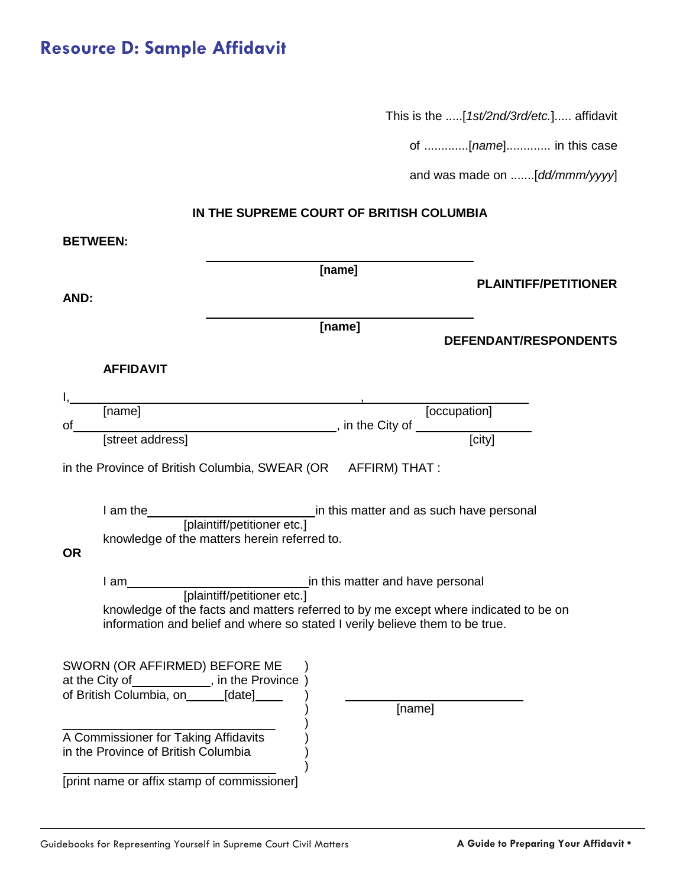This is the .....[*1st/2nd/3rd/etc.*]..... affidavit

of .............[*name*]............. in this case

and was made on .......[*dd/mmm/yyyy*]

#### **IN THE SUPREME COURT OF BRITISH COLUMBIA**

| <b>BETWEEN:</b>                                                                                                                                                      |                                                                                            |                                              |                                                                           |                                                                                      |  |  |
|----------------------------------------------------------------------------------------------------------------------------------------------------------------------|--------------------------------------------------------------------------------------------|----------------------------------------------|---------------------------------------------------------------------------|--------------------------------------------------------------------------------------|--|--|
|                                                                                                                                                                      |                                                                                            |                                              | [name]                                                                    |                                                                                      |  |  |
| AND:                                                                                                                                                                 |                                                                                            |                                              |                                                                           | <b>PLAINTIFF/PETITIONER</b>                                                          |  |  |
|                                                                                                                                                                      |                                                                                            |                                              | [name]                                                                    |                                                                                      |  |  |
|                                                                                                                                                                      |                                                                                            |                                              |                                                                           | DEFENDANT/RESPONDENTS                                                                |  |  |
|                                                                                                                                                                      | <b>AFFIDAVIT</b>                                                                           |                                              |                                                                           |                                                                                      |  |  |
|                                                                                                                                                                      |                                                                                            |                                              |                                                                           |                                                                                      |  |  |
|                                                                                                                                                                      |                                                                                            |                                              | [name] [occupation]<br>[street address] [5treet address] [5treet address] |                                                                                      |  |  |
| of                                                                                                                                                                   |                                                                                            |                                              |                                                                           |                                                                                      |  |  |
|                                                                                                                                                                      |                                                                                            |                                              | in the Province of British Columbia, SWEAR (OR AFFIRM) THAT :             |                                                                                      |  |  |
|                                                                                                                                                                      |                                                                                            |                                              |                                                                           |                                                                                      |  |  |
|                                                                                                                                                                      |                                                                                            |                                              |                                                                           |                                                                                      |  |  |
|                                                                                                                                                                      |                                                                                            |                                              |                                                                           | I am the <i>[plaintiff/petitioner etc.]</i> in this matter and as such have personal |  |  |
| <b>OR</b>                                                                                                                                                            |                                                                                            | knowledge of the matters herein referred to. |                                                                           |                                                                                      |  |  |
|                                                                                                                                                                      |                                                                                            |                                              |                                                                           |                                                                                      |  |  |
|                                                                                                                                                                      |                                                                                            |                                              |                                                                           |                                                                                      |  |  |
| knowledge of the facts and matters referred to by me except where indicated to be on<br>information and belief and where so stated I verily believe them to be true. |                                                                                            |                                              |                                                                           |                                                                                      |  |  |
|                                                                                                                                                                      |                                                                                            |                                              |                                                                           |                                                                                      |  |  |
|                                                                                                                                                                      | SWORN (OR AFFIRMED) BEFORE ME                                                              |                                              |                                                                           |                                                                                      |  |  |
|                                                                                                                                                                      | at the City of ____________, in the Province )<br>of British Columbia, on______[date]_____ |                                              |                                                                           |                                                                                      |  |  |
|                                                                                                                                                                      |                                                                                            |                                              | [name]                                                                    |                                                                                      |  |  |
|                                                                                                                                                                      | A Commissioner for Taking Affidavits                                                       |                                              |                                                                           |                                                                                      |  |  |
|                                                                                                                                                                      | in the Province of British Columbia                                                        |                                              |                                                                           |                                                                                      |  |  |
|                                                                                                                                                                      | [print name or affix stamp of commissioner]                                                |                                              |                                                                           |                                                                                      |  |  |

Guidebooks for Representing Yourself in Supreme Court Civil Matters **A Guide to Preparing Your Affidavit • A Guide to Preparing Your Affidavit**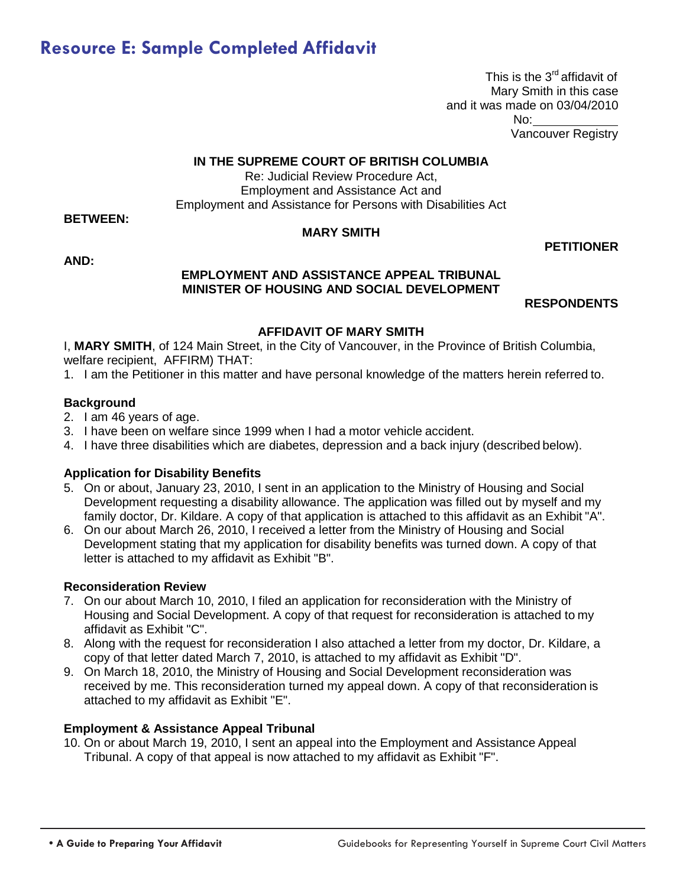# **Resource E: Sample Completed Affidavit**

This is the  $3<sup>rd</sup>$  affidavit of Mary Smith in this case and it was made on 03/04/2010 No: Vancouver Registry

#### **IN THE SUPREME COURT OF BRITISH COLUMBIA**

Re: Judicial Review Procedure Act, Employment and Assistance Act and Employment and Assistance for Persons with Disabilities Act

**BETWEEN:** 

#### **MARY SMITH**

**AND:**

#### **EMPLOYMENT AND ASSISTANCE APPEAL TRIBUNAL MINISTER OF HOUSING AND SOCIAL DEVELOPMENT**

**RESPONDENTS**

**PETITIONER**

#### **AFFIDAVIT OF MARY SMITH**

I, **MARY SMITH**, of 124 Main Street, in the City of Vancouver, in the Province of British Columbia, welfare recipient, AFFIRM) THAT:

1. I am the Petitioner in this matter and have personal knowledge of the matters herein referred to.

#### **Background**

- 2. I am 46 years of age.
- 3. I have been on welfare since 1999 when I had a motor vehicle accident.
- 4. I have three disabilities which are diabetes, depression and a back injury (described below).

#### **Application for Disability Benefits**

- 5. On or about, January 23, 2010, I sent in an application to the Ministry of Housing and Social Development requesting a disability allowance. The application was filled out by myself and my family doctor, Dr. Kildare. A copy of that application is attached to this affidavit as an Exhibit "A".
- 6. On our about March 26, 2010, I received a letter from the Ministry of Housing and Social Development stating that my application for disability benefits was turned down. A copy of that letter is attached to my affidavit as Exhibit "B".

#### **Reconsideration Review**

- 7. On our about March 10, 2010, I filed an application for reconsideration with the Ministry of Housing and Social Development. A copy of that request for reconsideration is attached to my affidavit as Exhibit "C".
- 8. Along with the request for reconsideration I also attached a letter from my doctor, Dr. Kildare, a copy of that letter dated March 7, 2010, is attached to my affidavit as Exhibit "D".
- 9. On March 18, 2010, the Ministry of Housing and Social Development reconsideration was received by me. This reconsideration turned my appeal down. A copy of that reconsideration is attached to my affidavit as Exhibit "E".

#### **Employment & Assistance Appeal Tribunal**

10. On or about March 19, 2010, I sent an appeal into the Employment and Assistance Appeal Tribunal. A copy of that appeal is now attached to my affidavit as Exhibit "F".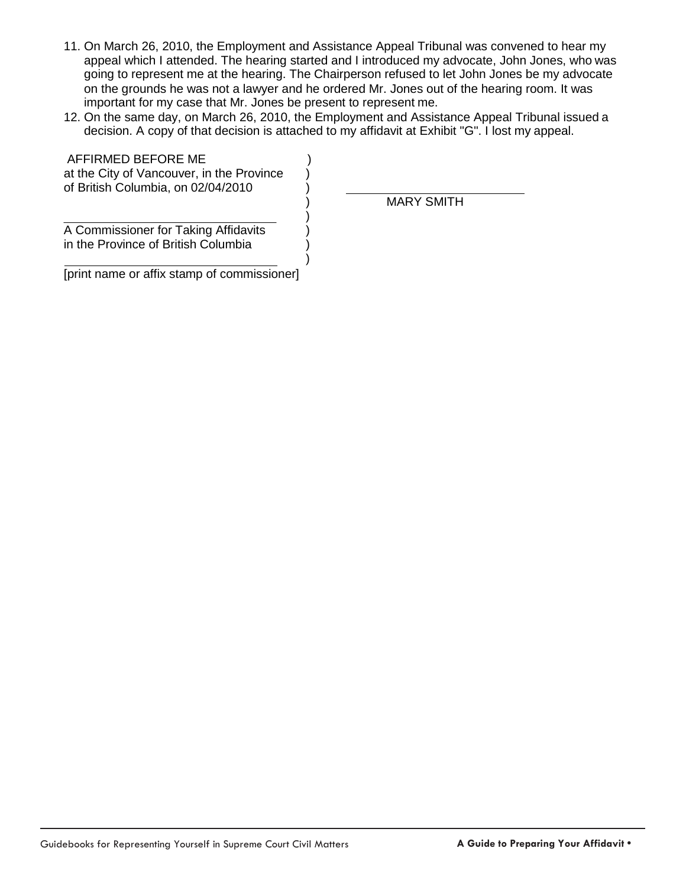- 11. On March 26, 2010, the Employment and Assistance Appeal Tribunal was convened to hear my appeal which I attended. The hearing started and I introduced my advocate, John Jones, who was going to represent me at the hearing. The Chairperson refused to let John Jones be my advocate on the grounds he was not a lawyer and he ordered Mr. Jones out of the hearing room. It was important for my case that Mr. Jones be present to represent me.
- 12. On the same day, on March 26, 2010, the Employment and Assistance Appeal Tribunal issued a decision. A copy of that decision is attached to my affidavit at Exhibit "G". I lost my appeal.

)

)

AFFIRMED BEFORE ME ) at the City of Vancouver, in the Province ) of British Columbia, on 02/04/2010

) MARY SMITH

A Commissioner for Taking Affidavits ) in the Province of British Columbia

[print name or affix stamp of commissioner]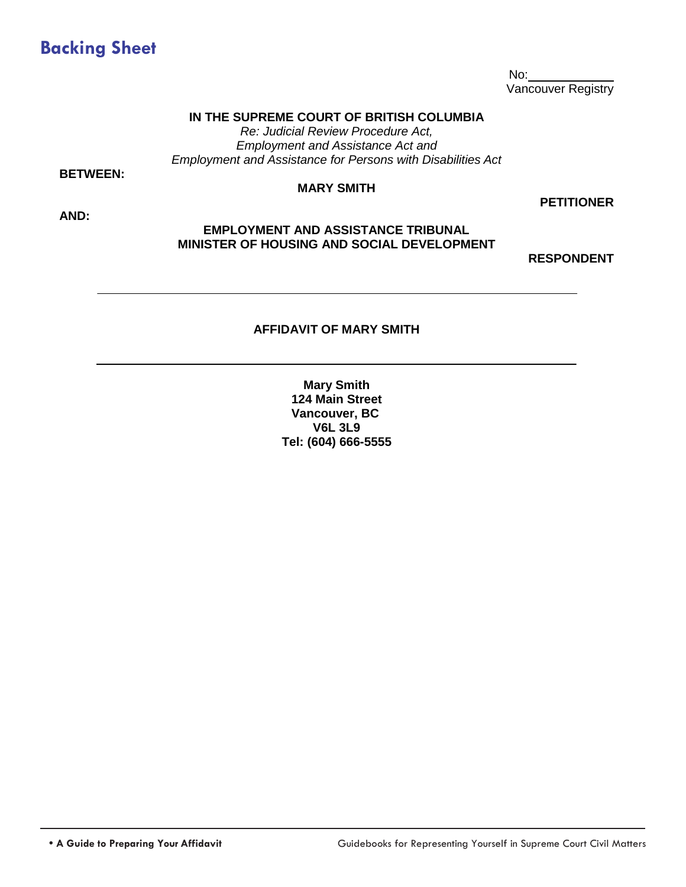

No: Vancouver Registry

#### **IN THE SUPREME COURT OF BRITISH COLUMBIA**

*Re: Judicial Review Procedure Act, Employment and Assistance Act and Employment and Assistance for Persons with Disabilities Act*

**BETWEEN:** 

#### **MARY SMITH**

**AND:**

#### **PETITIONER**

#### **EMPLOYMENT AND ASSISTANCE TRIBUNAL MINISTER OF HOUSING AND SOCIAL DEVELOPMENT**

**RESPONDENT**

#### **AFFIDAVIT OF MARY SMITH**

**Mary Smith 124 Main Street Vancouver, BC V6L 3L9 Tel: (604) 666-5555**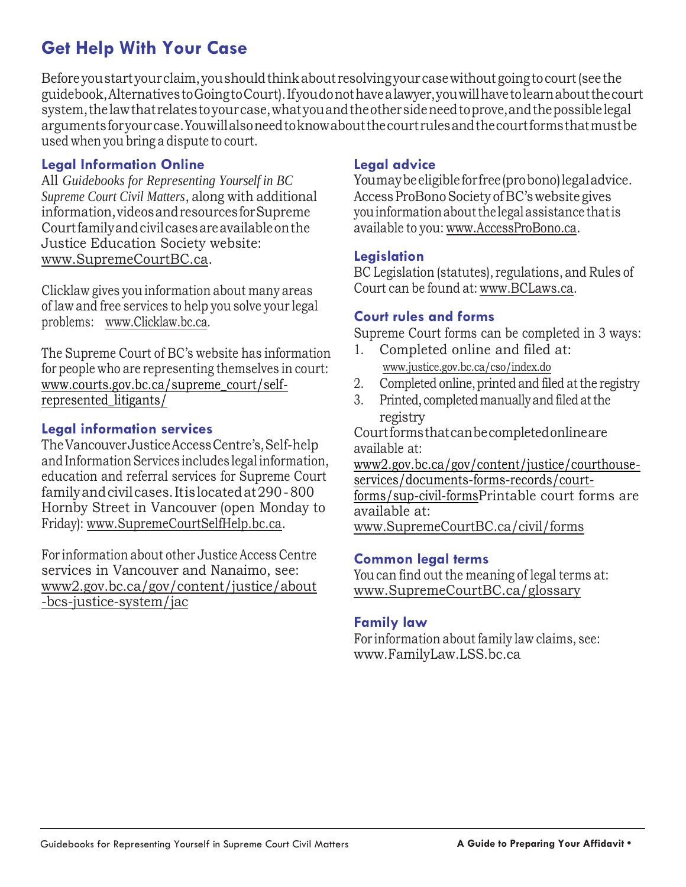# **Get Help With Your Case**

Before youstartyourclaim,youshouldthinkabout resolving yourcasewithout goingtocourt(seethe guidebook,AlternativestoGoingtoCourt).Ifyoudonothavealawyer,youwillhavetolearnaboutthecourt system,thelawthatrelatestoyourcase,whatyouandtheothersideneedtoprove,andthepossiblelegal argumentsforyourcase.Youwillalsoneedtoknowaboutthecourtrulesandthecourtformsthatmustbe used when you bring a dispute to court.

#### **Legal Information Online**

All *Guidebooks for Representing Yourself in BC Supreme Court Civil Matters*, along with additional information,videosandresourcesforSupreme Courtfamilyandcivilcasesareavailableonthe Justice Education Society website: [www.SupremeCourtBC.ca.](http://www.supremecourtbc.ca/)

Clicklaw gives you information about many areas of law and free services to help you solve your legal problems: [www.Clicklaw.bc.ca.](http://www.clicklaw.bc.ca/)

The Supreme Court of BC's website has information for people who are representing themselves in court: [www.courts.gov.bc.ca/supreme\\_court/self](http://www.courts.gov.bc.ca/supreme_court/self-represented_litigants/)[represented\\_litigants/](http://www.courts.gov.bc.ca/supreme_court/self-represented_litigants/)

#### **Legal information services**

TheVancouverJusticeAccessCentre's,Self-help andInformation Services includes legalinformation, education and referral services for Supreme Court familyandcivilcases.Itislocatedat290-800 Hornby Street in Vancouver (open Monday to Friday): [www.SupremeCourtSelfHelp.bc.ca.](http://www.supremecourtselfhelp.bc.ca/)

For information about other Justice Access Centre services in Vancouver and Nanaimo, see: [www2.gov.bc.ca/gov/content/justice/about](http://www2.gov.bc.ca/gov/content/justice/about-bcs-justice-system/jac) [-bcs-justice-system/jac](http://www2.gov.bc.ca/gov/content/justice/about-bcs-justice-system/jac)

#### **Legal advice**

Youmaybeeligibleforfree(probono)legaladvice. Access ProBono Society of BC's website gives youinformationaboutthe legal assistance thatis available to you: [www.AccessProBono.ca.](http://www.accessprobono.ca/)

#### **Legislation**

BC Legislation (statutes), regulations, and Rules of Court can be found at: [www.BCLaws.ca.](http://www.bclaws.ca/)

#### **Court rules and forms**

Supreme Court forms can be completed in 3 ways:

- 1. Completed online and filed at: [www.justice.gov.bc.ca/cso/index.do](https://justice.gov.bc.ca/cso/index.do)
- 2. Completed online, printed and filed at the registry
- 3. Printed, completed manually and filed at the registry

Courtformsthatcanbecompletedonlineare available at:

[www2.gov.bc.ca/gov/content/justice/courthouse](http://www2.gov.bc.ca/gov/content/justice/courthouse-services/documents-forms-records/court-forms/sup-civil-forms)[services/documents-forms-records/court](http://www2.gov.bc.ca/gov/content/justice/courthouse-services/documents-forms-records/court-forms/sup-civil-forms)[forms/sup-civil-formsP](http://www2.gov.bc.ca/gov/content/justice/courthouse-services/documents-forms-records/court-forms/sup-civil-forms)rintable court forms are available at:

[www.SupremeCourtBC.ca/civil/forms](http://www.supremecourtbc.ca/civil/forms)

#### **Common legal terms**

Youcan find out the meaning of legal terms at: [www.SupremeCourtBC.ca/glossary](http://www.supremecourtbc.ca/glossary)

#### **Family law**

For information about family law claims, see: [www.FamilyLaw.LSS.bc.ca](http://www.familylaw.lss.bc.ca/)